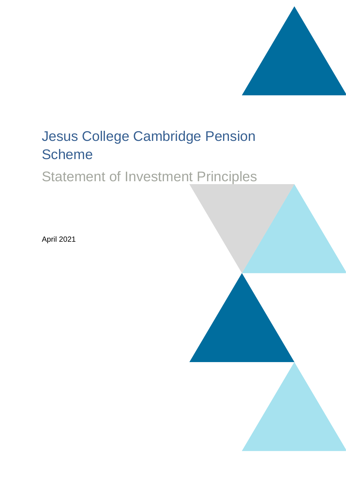

# Jesus College Cambridge Pension **Scheme**

## Statement of Investment Principles

April 2021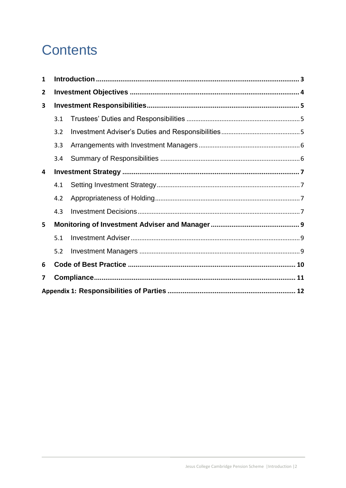# **Contents**

| 1 |     |  |  |
|---|-----|--|--|
| 2 |     |  |  |
| 3 |     |  |  |
|   | 3.1 |  |  |
|   | 3.2 |  |  |
|   | 3.3 |  |  |
|   | 3.4 |  |  |
| 4 |     |  |  |
|   | 4.1 |  |  |
|   | 4.2 |  |  |
|   | 4.3 |  |  |
| 5 |     |  |  |
|   | 5.1 |  |  |
|   | 5.2 |  |  |
| 6 |     |  |  |
| 7 |     |  |  |
|   |     |  |  |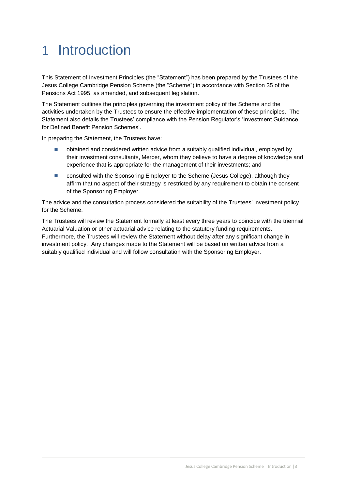## 1 Introduction

This Statement of Investment Principles (the "Statement") has been prepared by the Trustees of the Jesus College Cambridge Pension Scheme (the "Scheme") in accordance with Section 35 of the Pensions Act 1995, as amended, and subsequent legislation.

The Statement outlines the principles governing the investment policy of the Scheme and the activities undertaken by the Trustees to ensure the effective implementation of these principles. The Statement also details the Trustees' compliance with the Pension Regulator's 'Investment Guidance for Defined Benefit Pension Schemes'.

In preparing the Statement, the Trustees have:

- obtained and considered written advice from a suitably qualified individual, employed by their investment consultants, Mercer, whom they believe to have a degree of knowledge and experience that is appropriate for the management of their investments; and
- consulted with the Sponsoring Employer to the Scheme (Jesus College), although they affirm that no aspect of their strategy is restricted by any requirement to obtain the consent of the Sponsoring Employer.

The advice and the consultation process considered the suitability of the Trustees' investment policy for the Scheme.

The Trustees will review the Statement formally at least every three years to coincide with the triennial Actuarial Valuation or other actuarial advice relating to the statutory funding requirements. Furthermore, the Trustees will review the Statement without delay after any significant change in investment policy. Any changes made to the Statement will be based on written advice from a suitably qualified individual and will follow consultation with the Sponsoring Employer.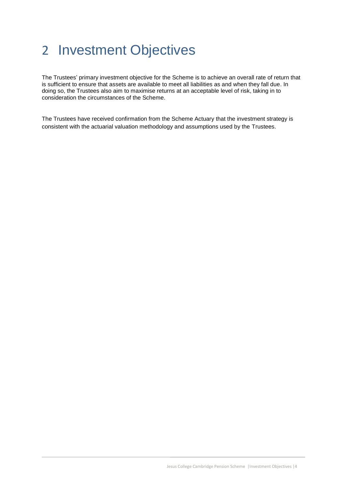## 2 Investment Objectives

The Trustees' primary investment objective for the Scheme is to achieve an overall rate of return that is sufficient to ensure that assets are available to meet all liabilities as and when they fall due. In doing so, the Trustees also aim to maximise returns at an acceptable level of risk, taking in to consideration the circumstances of the Scheme.

The Trustees have received confirmation from the Scheme Actuary that the investment strategy is consistent with the actuarial valuation methodology and assumptions used by the Trustees.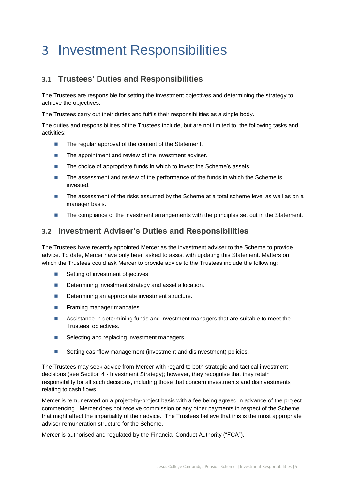## 3 Investment Responsibilities

### **3.1 Trustees' Duties and Responsibilities**

The Trustees are responsible for setting the investment objectives and determining the strategy to achieve the objectives.

The Trustees carry out their duties and fulfils their responsibilities as a single body.

The duties and responsibilities of the Trustees include, but are not limited to, the following tasks and activities:

- The regular approval of the content of the Statement.
- The appointment and review of the investment adviser.
- The choice of appropriate funds in which to invest the Scheme's assets.
- The assessment and review of the performance of the funds in which the Scheme is invested.
- The assessment of the risks assumed by the Scheme at a total scheme level as well as on a manager basis.
- The compliance of the investment arrangements with the principles set out in the Statement.

### **3.2 Investment Adviser's Duties and Responsibilities**

The Trustees have recently appointed Mercer as the investment adviser to the Scheme to provide advice. To date, Mercer have only been asked to assist with updating this Statement. Matters on which the Trustees could ask Mercer to provide advice to the Trustees include the following:

- Setting of investment objectives.
- Determining investment strategy and asset allocation.
- Determining an appropriate investment structure.
- **Framing manager mandates.**
- **Assistance in determining funds and investment managers that are suitable to meet the** Trustees' objectives.
- Selecting and replacing investment managers.
- Setting cashflow management (investment and disinvestment) policies.

The Trustees may seek advice from Mercer with regard to both strategic and tactical investment decisions (see Section 4 - Investment Strategy); however, they recognise that they retain responsibility for all such decisions, including those that concern investments and disinvestments relating to cash flows.

Mercer is remunerated on a project-by-project basis with a fee being agreed in advance of the project commencing. Mercer does not receive commission or any other payments in respect of the Scheme that might affect the impartiality of their advice. The Trustees believe that this is the most appropriate adviser remuneration structure for the Scheme.

Mercer is authorised and regulated by the Financial Conduct Authority ("FCA").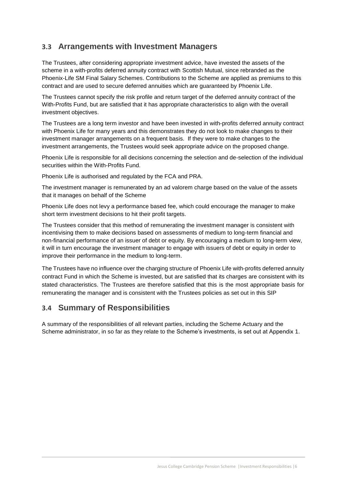### **3.3 Arrangements with Investment Managers**

The Trustees, after considering appropriate investment advice, have invested the assets of the scheme in a with-profits deferred annuity contract with Scottish Mutual, since rebranded as the Phoenix-Life SM Final Salary Schemes. Contributions to the Scheme are applied as premiums to this contract and are used to secure deferred annuities which are guaranteed by Phoenix Life.

The Trustees cannot specify the risk profile and return target of the deferred annuity contract of the With-Profits Fund, but are satisfied that it has appropriate characteristics to align with the overall investment objectives.

The Trustees are a long term investor and have been invested in with-profits deferred annuity contract with Phoenix Life for many years and this demonstrates they do not look to make changes to their investment manager arrangements on a frequent basis. If they were to make changes to the investment arrangements, the Trustees would seek appropriate advice on the proposed change.

Phoenix Life is responsible for all decisions concerning the selection and de-selection of the individual securities within the With-Profits Fund.

Phoenix Life is authorised and regulated by the FCA and PRA.

The investment manager is remunerated by an ad valorem charge based on the value of the assets that it manages on behalf of the Scheme

Phoenix Life does not levy a performance based fee, which could encourage the manager to make short term investment decisions to hit their profit targets.

The Trustees consider that this method of remunerating the investment manager is consistent with incentivising them to make decisions based on assessments of medium to long-term financial and non-financial performance of an issuer of debt or equity. By encouraging a medium to long-term view, it will in turn encourage the investment manager to engage with issuers of debt or equity in order to improve their performance in the medium to long-term.

The Trustees have no influence over the charging structure of Phoenix Life with-profits deferred annuity contract Fund in which the Scheme is invested, but are satisfied that its charges are consistent with its stated characteristics. The Trustees are therefore satisfied that this is the most appropriate basis for remunerating the manager and is consistent with the Trustees policies as set out in this SIP

### **3.4 Summary of Responsibilities**

A summary of the responsibilities of all relevant parties, including the Scheme Actuary and the Scheme administrator, in so far as they relate to the Scheme's investments, is set out at Appendix 1.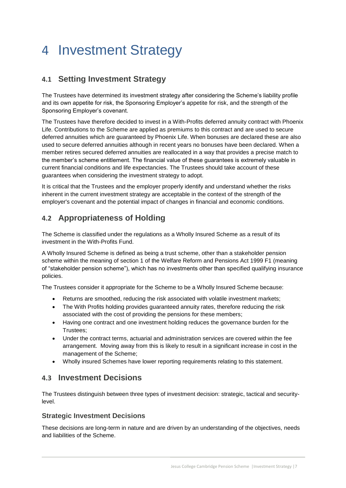## 4 Investment Strategy

### **4.1 Setting Investment Strategy**

The Trustees have determined its investment strategy after considering the Scheme's liability profile and its own appetite for risk, the Sponsoring Employer's appetite for risk, and the strength of the Sponsoring Employer's covenant.

The Trustees have therefore decided to invest in a With-Profits deferred annuity contract with Phoenix Life. Contributions to the Scheme are applied as premiums to this contract and are used to secure deferred annuities which are guaranteed by Phoenix Life. When bonuses are declared these are also used to secure deferred annuities although in recent years no bonuses have been declared. When a member retires secured deferred annuities are reallocated in a way that provides a precise match to the member's scheme entitlement. The financial value of these guarantees is extremely valuable in current financial conditions and life expectancies. The Trustees should take account of these guarantees when considering the investment strategy to adopt.

It is critical that the Trustees and the employer properly identify and understand whether the risks inherent in the current investment strategy are acceptable in the context of the strength of the employer's covenant and the potential impact of changes in financial and economic conditions.

### **4.2 Appropriateness of Holding**

The Scheme is classified under the regulations as a Wholly Insured Scheme as a result of its investment in the With-Profits Fund.

A Wholly Insured Scheme is defined as being a trust scheme, other than a stakeholder pension scheme within the meaning of section 1 of the Welfare Reform and Pensions Act 1999 F1 (meaning of "stakeholder pension scheme"), which has no investments other than specified qualifying insurance policies.

The Trustees consider it appropriate for the Scheme to be a Wholly Insured Scheme because:

- Returns are smoothed, reducing the risk associated with volatile investment markets;
- The With Profits holding provides guaranteed annuity rates, therefore reducing the risk associated with the cost of providing the pensions for these members;
- Having one contract and one investment holding reduces the governance burden for the Trustees;
- Under the contract terms, actuarial and administration services are covered within the fee arrangement. Moving away from this is likely to result in a significant increase in cost in the management of the Scheme;
- Wholly insured Schemes have lower reporting requirements relating to this statement.

### **4.3 Investment Decisions**

The Trustees distinguish between three types of investment decision: strategic, tactical and securitylevel.

#### **Strategic Investment Decisions**

These decisions are long-term in nature and are driven by an understanding of the objectives, needs and liabilities of the Scheme.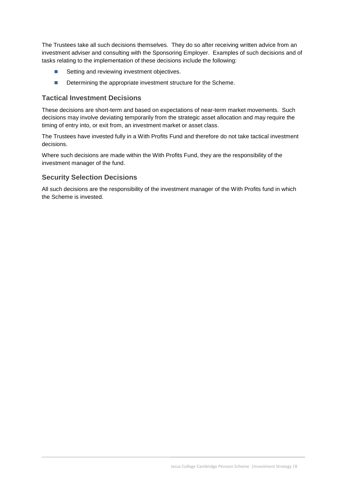The Trustees take all such decisions themselves. They do so after receiving written advice from an investment adviser and consulting with the Sponsoring Employer. Examples of such decisions and of tasks relating to the implementation of these decisions include the following:

- Setting and reviewing investment objectives.
- Determining the appropriate investment structure for the Scheme.

#### **Tactical Investment Decisions**

These decisions are short-term and based on expectations of near-term market movements. Such decisions may involve deviating temporarily from the strategic asset allocation and may require the timing of entry into, or exit from, an investment market or asset class.

The Trustees have invested fully in a With Profits Fund and therefore do not take tactical investment decisions.

Where such decisions are made within the With Profits Fund, they are the responsibility of the investment manager of the fund.

#### **Security Selection Decisions**

All such decisions are the responsibility of the investment manager of the With Profits fund in which the Scheme is invested.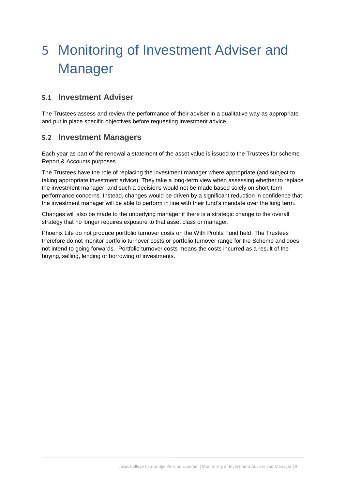# 5 Monitoring of Investment Adviser and Manager

### **5.1 Investment Adviser**

The Trustees assess and review the performance of their adviser in a qualitative way as appropriate and put in place specific objectives before requesting investment advice.

### **5.2 Investment Managers**

Each year as part of the renewal a statement of the asset value is issued to the Trustees for scheme Report & Accounts purposes.

The Trustees have the role of replacing the investment manager where appropriate (and subject to taking appropriate investment advice). They take a long-term view when assessing whether to replace the investment manager, and such a decisions would not be made based solely on short-term performance concerns. Instead, changes would be driven by a significant reduction in confidence that the investment manager will be able to perform in line with their fund's mandate over the long term.

Changes will also be made to the underlying manager if there is a strategic change to the overall strategy that no longer requires exposure to that asset class or manager.

Phoenix Life do not produce portfolio turnover costs on the With Profits Fund held. The Trustees therefore do not monitor portfolio turnover costs or portfolio turnover range for the Scheme and does not intend to going forwards. Portfolio turnover costs means the costs incurred as a result of the buying, selling, lending or borrowing of investments.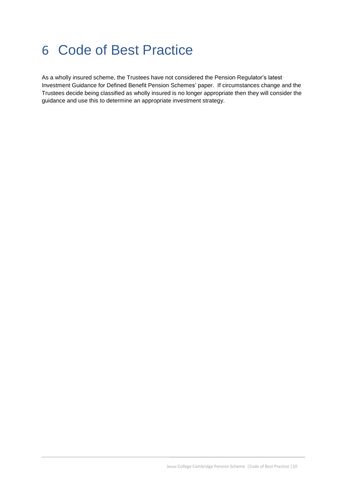## 6 Code of Best Practice

As a wholly insured scheme, the Trustees have not considered the Pension Regulator's latest Investment Guidance for Defined Benefit Pension Schemes' paper. If circumstances change and the Trustees decide being classified as wholly insured is no longer appropriate then they will consider the guidance and use this to determine an appropriate investment strategy.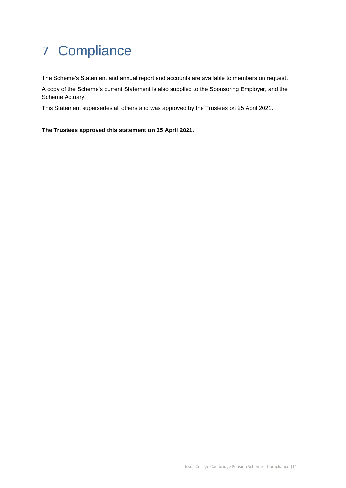# 7 Compliance

The Scheme's Statement and annual report and accounts are available to members on request.

A copy of the Scheme's current Statement is also supplied to the Sponsoring Employer, and the Scheme Actuary.

This Statement supersedes all others and was approved by the Trustees on 25 April 2021.

**The Trustees approved this statement on 25 April 2021.**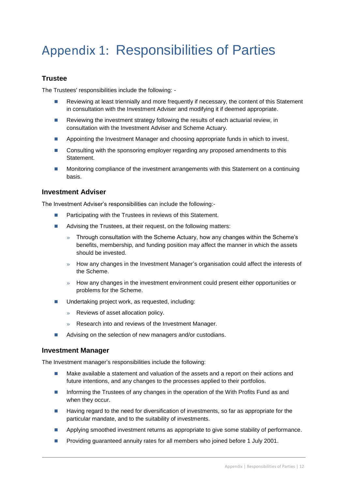## Appendix 1: Responsibilities of Parties

#### **Trustee**

The Trustees' responsibilities include the following: -

- Reviewing at least triennially and more frequently if necessary, the content of this Statement in consultation with the Investment Adviser and modifying it if deemed appropriate.
- **Reviewing the investment strategy following the results of each actuarial review, in** consultation with the Investment Adviser and Scheme Actuary.
- **Appointing the Investment Manager and choosing appropriate funds in which to invest.**
- Consulting with the sponsoring employer regarding any proposed amendments to this Statement.
- Monitoring compliance of the investment arrangements with this Statement on a continuing basis.

#### **Investment Adviser**

The Investment Adviser's responsibilities can include the following:-

- Participating with the Trustees in reviews of this Statement.
- Advising the Trustees, at their request, on the following matters:
	- $\rightarrow$  Through consultation with the Scheme Actuary, how any changes within the Scheme's benefits, membership, and funding position may affect the manner in which the assets should be invested.
	- $\gg$  How any changes in the Investment Manager's organisation could affect the interests of the Scheme.
	- $\gg$  How any changes in the investment environment could present either opportunities or problems for the Scheme.
- Undertaking project work, as requested, including:
	- » Reviews of asset allocation policy.
	- » Research into and reviews of the Investment Manager.
- Advising on the selection of new managers and/or custodians.

#### **Investment Manager**

The Investment manager's responsibilities include the following:

- **Make available a statement and valuation of the assets and a report on their actions and** future intentions, and any changes to the processes applied to their portfolios.
- Informing the Trustees of any changes in the operation of the With Profits Fund as and when they occur.
- **Having regard to the need for diversification of investments, so far as appropriate for the** particular mandate, and to the suitability of investments.
- Applying smoothed investment returns as appropriate to give some stability of performance.
- **Providing guaranteed annuity rates for all members who joined before 1 July 2001.**